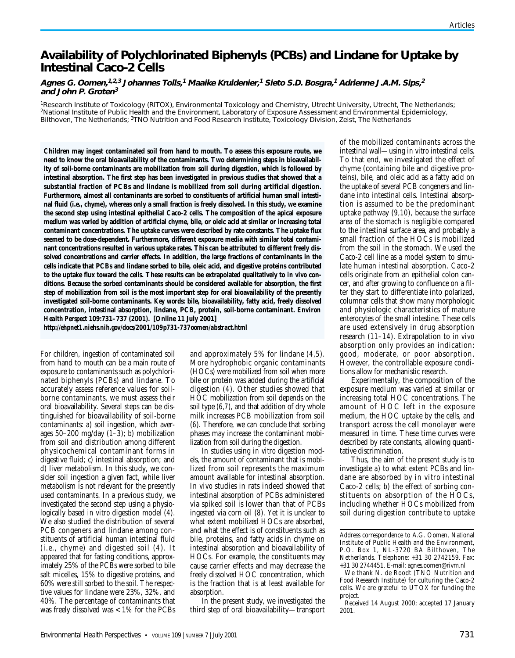# **Availability of Polychlorinated Biphenyls (PCBs) and Lindane for Uptake by Intestinal Caco-2 Cells**

### **Agnes G. Oomen,1,2,3 Johannes Tolls,<sup>1</sup> Maaike Kruidenier,<sup>1</sup> Sieto S.D. Bosgra,<sup>1</sup> Adrienne J.A.M. Sips,<sup>2</sup> and John P. Groten<sup>3</sup>**

1Research Institute of Toxicology (RITOX), Environmental Toxicology and Chemistry, Utrecht University, Utrecht, The Netherlands; 2National Institute of Public Health and the Environment, Laboratory of Exposure Assessment and Environmental Epidemiology, Bilthoven, The Netherlands; 3TNO Nutrition and Food Research Institute, Toxicology Division, Zeist, The Netherlands

**Children may ingest contaminated soil from hand to mouth. To assess this exposure route, we need to know the oral bioavailability of the contaminants. Two determining steps in bioavailability of soil-borne contaminants are mobilization from soil during digestion, which is followed by intestinal absorption. The first step has been investigated in previous studies that showed that a substantial fraction of PCBs and lindane is mobilized from soil during artificial digestion. Furthermore, almost all contaminants are sorbed to constituents of artificial human small intestinal fluid (i.e., chyme), whereas only a small fraction is freely dissolved. In this study, we examine the second step using intestinal epithelial Caco-2 cells. The composition of the apical exposure medium was varied by addition of artificial chyme, bile, or oleic acid at similar or increasing total contaminant concentrations. The uptake curves were described by rate constants. The uptake flux seemed to be dose-dependent. Furthermore, different exposure media with similar total contaminant concentrations resulted in various uptake rates. This can be attributed to different freely dissolved concentrations and carrier effects. In addition, the large fractions of contaminants in the cells indicate that PCBs and lindane sorbed to bile, oleic acid, and digestive proteins contributed to the uptake flux toward the cells. These results can be extrapolated qualitatively to** *in vivo* **conditions. Because the sorbed contaminants should be considered available for absorption, the first step of mobilization from soil is the most important step for oral bioavailability of the presently investigated soil-borne contaminants.** *Key words***: bile, bioavailability, fatty acid, freely dissolved concentration, intestinal absorption, lindane, PCB, protein, soil-borne contaminant.** *Environ Health Perspect* **109:731–737 (2001). [Online 11 July 2001]**

*http://ehpnet1.niehs.nih.gov/docs/2001/109p731-737oomen/abstract.html*

For children, ingestion of contaminated soil from hand to mouth can be a main route of exposure to contaminants such as polychlorinated biphenyls (PCBs) and lindane. To accurately assess reference values for soilborne contaminants, we must assess their oral bioavailability. Several steps can be distinguished for bioavailability of soil-borne contaminants: *a*) soil ingestion, which averages 50–200 mg/day (*1–3*); *b*) mobilization from soil and distribution among different physicochemical contaminant forms in digestive fluid; *c*) intestinal absorption; and *d*) liver metabolism. In this study, we consider soil ingestion a given fact, while liver metabolism is not relevant for the presently used contaminants. In a previous study, we investigated the second step using a physiologically based *in vitro* digestion model (*4*). We also studied the distribution of several PCB congeners and lindane among constituents of artificial human intestinal fluid (i.e., chyme) and digested soil (*4*). It appeared that for fasting conditions, approximately 25% of the PCBs were sorbed to bile salt micelles, 15% to digestive proteins, and 60% were still sorbed to the soil. The respective values for lindane were 23%, 32%, and 40%. The percentage of contaminants that was freely dissolved was < 1% for the PCBs

and approximately 5% for lindane (*4,5*). More hydrophobic organic contaminants (HOCs) were mobilized from soil when more bile or protein was added during the artificial digestion (*4*). Other studies showed that HOC mobilization from soil depends on the soil type  $(6,7)$ , and that addition of dry whole milk increases PCB mobilization from soil (*6*). Therefore, we can conclude that sorbing phases may increase the contaminant mobilization from soil during the digestion.

In studies using *in vitro* digestion models, the amount of contaminant that is mobilized from soil represents the maximum amount available for intestinal absorption. *In vivo* studies in rats indeed showed that intestinal absorption of PCBs administered via spiked soil is lower than that of PCBs ingested via corn oil (*8*). Yet it is unclear to what extent mobilized HOCs are absorbed, and what the effect is of constituents such as bile, proteins, and fatty acids in chyme on intestinal absorption and bioavailability of HOCs. For example, the constituents may cause carrier effects and may decrease the freely dissolved HOC concentration, which is the fraction that is at least available for absorption.

In the present study, we investigated the third step of oral bioavailability—transport of the mobilized contaminants across the intestinal wall—using *in vitro* intestinal cells. To that end, we investigated the effect of chyme (containing bile and digestive proteins), bile, and oleic acid as a fatty acid on the uptake of several PCB congeners and lindane into intestinal cells. Intestinal absorption is assumed to be the predominant uptake pathway (*9,10*), because the surface area of the stomach is negligible compared to the intestinal surface area, and probably a small fraction of the HOCs is mobilized from the soil in the stomach. We used the Caco-2 cell line as a model system to simulate human intestinal absorption. Caco-2 cells originate from an epithelial colon cancer, and after growing to confluence on a filter they start to differentiate into polarized, columnar cells that show many morphologic and physiologic characteristics of mature enterocytes of the small intestine. These cells are used extensively in drug absorption research (*11–14*). Extrapolation to *in vivo* absorption only provides an indication: good, moderate, or poor absorption. However, the controllable exposure conditions allow for mechanistic research.

Experimentally, the composition of the exposure medium was varied at similar or increasing total HOC concentrations. The amount of HOC left in the exposure medium, the HOC uptake by the cells, and transport across the cell monolayer were measured in time. These time curves were described by rate constants, allowing quantitative discrimination.

Thus, the aim of the present study is to investigate *a*) to what extent PCBs and lindane are absorbed by *in vitro* intestinal Caco-2 cells; *b*) the effect of sorbing constituents on absorption of the HOCs, including whether HOCs mobilized from soil during digestion contribute to uptake

Address correspondence to A.G. Oomen, National Institute of Public Health and the Environment, P.O. Box 1, NL-3720 BA Bilthoven, The Netherlands. Telephone: +31 30 2742159. Fax: +31 30 2744451. E-mail: agnes.oomen@rivm.nl

We thank N. de Roodt (TNO Nutrition and Food Research Institute) for culturing the Caco-2 cells. We are grateful to UTOX for funding the project.

Received 14 August 2000; accepted 17 January 2001.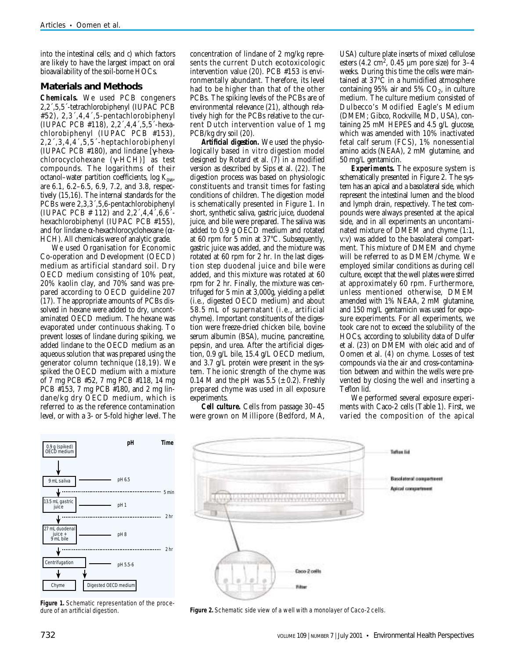into the intestinal cells; and  $\phi$  which factors are likely to have the largest impact on oral bioavailability of the soil-borne HOCs.

### **Materials and Methods**

*Chemicals.* We used PCB congeners 2,2´,5,5´-tetrachlorobiphenyl (IUPAC PCB #52), 2,3´,4,4´,5-pentachlorobiphenyl (IUPAC PCB #118), 2,2´,4,4´,5,5´-hexachlorobiphenyl (IUPAC PCB #153), 2,2´,3,4,4´,5,5´-heptachlorobiphenyl (IUPAC PCB #180), and lindane [γ-hexachlorocyclohexane (γ-HCH)] as test compounds. The logarithms of their octanol–water partition coefficients,  $log K_{ow}$ , are 6.1, 6.2–6.5, 6.9, 7.2, and 3.8, respectively (*15,16*). The internal standards for the PCBs were 2,3,3´,5,6-pentachlorobiphenyl (IUPAC PCB  $\#$  112) and 2,2 $^{\circ}$ ,4,4 $^{\circ}$ ,6,6 $^{\circ}$ hexachlorobiphenyl (IUPAC PCB #155), and for lindane  $α$ -hexachlorocyclohexane ( $α$ -HCH). All chemicals were of analytic grade.

We used Organisation for Economic Co-operation and Development (OECD) medium as artificial standard soil. Dry OECD medium consisting of 10% peat, 20% kaolin clay, and 70% sand was prepared according to OECD guideline 207 (*17*). The appropriate amounts of PCBs dissolved in hexane were added to dry, uncontaminated OECD medium. The hexane was evaporated under continuous shaking. To prevent losses of lindane during spiking, we added lindane to the OECD medium as an aqueous solution that was prepared using the generator column technique (*18,19*). We spiked the OECD medium with a mixture of 7 mg PCB #52, 7 mg PCB #118, 14 mg PCB #153, 7 mg PCB #180, and 2 mg lindane/kg dry OECD medium, which is referred to as the reference contamination level, or with a 3- or 5-fold higher level. The

concentration of lindane of 2 mg/kg represents the current Dutch ecotoxicologic intervention value (*20*). PCB #153 is environmentally abundant. Therefore, its level had to be higher than that of the other PCBs. The spiking levels of the PCBs are of environmental relevance (*21*), although relatively high for the PCBs relative to the current Dutch intervention value of 1 mg PCB/kg dry soil (*20*).

*Artificial digestion.* We used the physiologically based *in vitro* digestion model designed by Rotard et al. (*7*) in a modified version as described by Sips et al. (*22*). The digestion process was based on physiologic constituents and transit times for fasting conditions of children. The digestion model is schematically presented in Figure 1. In short, synthetic saliva, gastric juice, duodenal juice, and bile were prepared. The saliva was added to 0.9 g OECD medium and rotated at 60 rpm for 5 min at 37°C. Subsequently, gastric juice was added, and the mixture was rotated at 60 rpm for 2 hr. In the last digestion step duodenal juice and bile were added, and this mixture was rotated at 60 rpm for 2 hr. Finally, the mixture was centrifuged for 5 min at 3,000*g*, yielding a pellet (i.e., digested OECD medium) and about 58.5 mL of supernatant (i.e., artificial chyme). Important constituents of the digestion were freeze-dried chicken bile, bovine serum albumin (BSA), mucine, pancreatine, pepsin, and urea. After the artificial digestion, 0.9 g/L bile, 15.4 g/L OECD medium, and 3.7 g/L protein were present in the system. The ionic strength of the chyme was 0.14 M and the pH was  $5.5 \ (\pm 0.2)$ . Freshly prepared chyme was used in all exposure experiments.

*Cell culture.* Cells from passage 30–45 were grown on Millipore (Bedford, MA,

USA) culture plate inserts of mixed cellulose esters  $(4.2 \text{ cm}^2, 0.45 \text{ }\mu\text{m}$  pore size) for 3–4 weeks. During this time the cells were maintained at 37°C in a humidified atmosphere containing  $95\%$  air and  $5\%$  CO<sub>2</sub>, in culture medium. The culture medium consisted of Dulbecco's Modified Eagle's Medium (DMEM; Gibco, Rockville, MD, USA), containing 25 mM HEPES and 4.5 g/L glucose, which was amended with 10% inactivated fetal calf serum (FCS), 1% nonessential amino acids (NEAA), 2 mM glutamine, and 50 mg/L gentamicin.

*Experiments.* The exposure system is schematically presented in Figure 2. The system has an apical and a basolateral side, which represent the intestinal lumen and the blood and lymph drain, respectively. The test compounds were always presented at the apical side, and in all experiments an uncontaminated mixture of DMEM and chyme (1:1, v:v) was added to the basolateral compartment. This mixture of DMEM and chyme will be referred to as DMEM/chyme. We employed similar conditions as during cell culture, except that the well plates were stirred at approximately 60 rpm. Furthermore, unless mentioned otherwise, DMEM amended with 1% NEAA, 2 mM glutamine, and 150 mg/L gentamicin was used for exposure experiments. For all experiments, we took care not to exceed the solubility of the HOCs, according to solubility data of Dulfer et al. (*23*) on DMEM with oleic acid and of Oomen et al. (*4*) on chyme. Losses of test compounds via the air and cross-contamination between and within the wells were prevented by closing the well and inserting a Teflon lid.

We performed several exposure experiments with Caco-2 cells (Table 1). First, we varied the composition of the apical



**Figure 1.** Schematic representation of the procedure of an artificial digestion.



**Figure 2.** Schematic side view of a well with a monolayer of Caco-2 cells.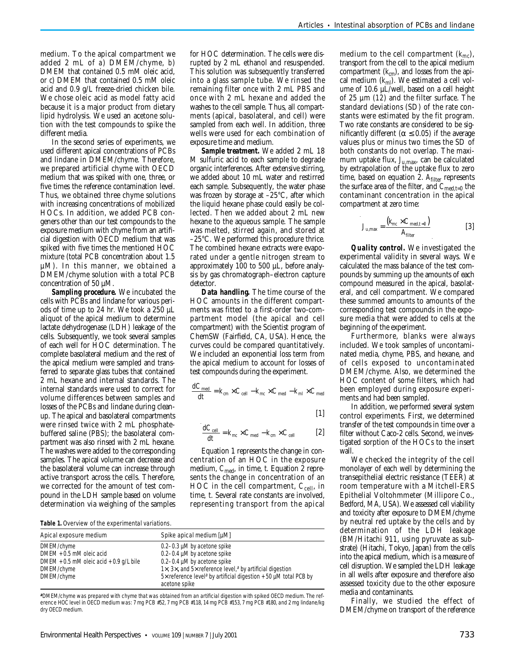medium. To the apical compartment we added 2 mL of *a*) DMEM/chyme, *b*) DMEM that contained 0.5 mM oleic acid, or *c*) DMEM that contained 0.5 mM oleic acid and 0.9 g/L freeze-dried chicken bile. We chose oleic acid as model fatty acid because it is a major product from dietary lipid hydrolysis. We used an acetone solution with the test compounds to spike the different media.

In the second series of experiments, we used different apical concentrations of PCBs and lindane in DMEM/chyme. Therefore, we prepared artificial chyme with OECD medium that was spiked with one, three, or five times the reference contamination level. Thus, we obtained three chyme solutions with increasing concentrations of mobilized HOCs. In addition, we added PCB congeners other than our test compounds to the exposure medium with chyme from an artificial digestion with OECD medium that was spiked with five times the mentioned HOC mixture (total PCB concentration about 1.5 µM). In this manner, we obtained a DMEM/chyme solution with a total PCB concentration of 50 µM.

*Sampling procedure.* We incubated the cells with PCBs and lindane for various periods of time up to 24 hr. We took a 250 µL aliquot of the apical medium to determine lactate dehydrogenase (LDH) leakage of the cells. Subsequently, we took several samples of each well for HOC determination. The complete basolateral medium and the rest of the apical medium were sampled and transferred to separate glass tubes that contained 2 mL hexane and internal standards. The internal standards were used to correct for volume differences between samples and losses of the PCBs and lindane during cleanup. The apical and basolateral compartments were rinsed twice with 2 mL phosphatebuffered saline (PBS); the basolateral compartment was also rinsed with 2 mL hexane. The washes were added to the corresponding samples. The apical volume can decrease and the basolateral volume can increase through active transport across the cells. Therefore, we corrected for the amount of test compound in the LDH sample based on volume determination via weighing of the samples

for HOC determination. The cells were disrupted by 2 mL ethanol and resuspended. This solution was subsequently transferred into a glass sample tube. We rinsed the remaining filter once with 2 mL PBS and once with 2 mL hexane and added the washes to the cell sample. Thus, all compartments (apical, basolateral, and cell) were sampled from each well. In addition, three wells were used for each combination of exposure time and medium.

*Sample treatment.* We added 2 mL 18 M sulfuric acid to each sample to degrade organic interferences. After extensive stirring, we added about 10 mL water and restirred each sample. Subsequently, the water phase was frozen by storage at –25°C, after which the liquid hexane phase could easily be collected. Then we added about 2 mL new hexane to the aqueous sample. The sample was melted, stirred again, and stored at –25°C. We performed this procedure thrice. The combined hexane extracts were evaporated under a gentle nitrogen stream to approximately 100 to 500 µL, before analysis by gas chromatograph–electron capture detector.

*Data handling.* The time course of the HOC amounts in the different compartments was fitted to a first-order two-compartment model (the apical and cell compartment) with the Scientist program of ChemSW (Fairfield, CA, USA). Hence, the curves could be compared quantitatively. We included an exponential loss term from the apical medium to account for losses of test compounds during the experiment.

$$
\frac{dC_{\text{med}}}{dt} = k_{cm} \times C_{\text{cell}} - k_{mc} \times C_{\text{med}} - k_{ml} \times C_{\text{med}}
$$

[1]

$$
\frac{dC_{\text{cell}}}{dt} = k_{mc} \times C_{\text{med}} - k_{cm} \times C_{\text{cell}} \qquad [2]
$$

Equation 1 represents the change in concentration of an HOC in the exposure medium,  $C_{\text{med}}$ , in time, *t*. Equation 2 represents the change in concentration of an HOC in the cell compartment,  $C_{\text{cell}}$ , in time, *t*. Several rate constants are involved, representing transport from the apical

**Table 1.** Overview of the experimental variations.

| Apical exposure medium                      | Spike apical medium [µM]                                                                              |
|---------------------------------------------|-------------------------------------------------------------------------------------------------------|
| DMEM/chyme                                  | $0.2 - 0.3$ µM by acetone spike                                                                       |
| DMEM + 0.5 mM oleic acid                    | $0.2 - 0.4$ µM by acetone spike                                                                       |
| DMEM $+$ 0.5 mM oleic acid $+$ 0.9 g/L bile | $0.2 - 0.4$ µM by acetone spike                                                                       |
| DMEM/chyme                                  | $1\times$ , $3\times$ , and $5\times$ reference level, <sup>a</sup> by artificial digestion           |
| DMEM/chyme                                  | $5\times$ reference level <sup>a</sup> by artificial digestion $+50$ µM total PCB by<br>acetone spike |

**a**DMEM/chyme was prepared with chyme that was obtained from an artificial digestion with spiked OECD medium. The reference HOC level in OECD medium was: 7 mg PCB #52, 7 mg PCB #118, 14 mg PCB #153, 7 mg PCB #180, and 2 mg lindane/kg dry OECD medium.

medium to the cell compartment (*kmc*), transport from the cell to the apical medium compartment (*kcm*), and losses from the apical medium (*kml*). We estimated a cell volume of 10.6 µL/well, based on a cell height of 25 µm (*12*) and the filter surface. The standard deviations (SD) of the rate constants were estimated by the fit program. Two rate constants are considered to be significantly different ( $\alpha \leq 0.05$ ) if the average values plus or minus two times the SD of both constants do not overlap. The maximum uptake flux, *J*u,max, can be calculated by extrapolation of the uptake flux to zero time, based on equation 2.  $A_{filter}$  represents the surface area of the filter, and  $C_{\text{med,t=0}}$  the contaminant concentration in the apical compartment at zero time:

$$
J_{\rm u,max} = \frac{(k_{mc} \times C_{\rm med, t=0})}{A_{\rm filter}}
$$
 [3]

*Quality control.* We investigated the experimental validity in several ways. We calculated the mass balance of the test compounds by summing up the amounts of each compound measured in the apical, basolateral, and cell compartment. We compared these summed amounts to amounts of the corresponding test compounds in the exposure media that were added to cells at the beginning of the experiment.

Furthermore, blanks were always included. We took samples of uncontaminated media, chyme, PBS, and hexane, and of cells exposed to uncontaminated DMEM/chyme. Also, we determined the HOC content of some filters, which had been employed during exposure experiments and had been sampled.

In addition, we performed several system control experiments. First, we determined transfer of the test compounds in time over a filter without Caco-2 cells. Second, we investigated sorption of the HOCs to the insert wall.

We checked the integrity of the cell monolayer of each well by determining the transepithelial electric resistance (TEER) at room temperature with a Mitchell-ERS Epithelial Voltohmmeter (Millipore Co., Bedford, MA, USA). We assessed cell viability and toxicity after exposure to DMEM/chyme by neutral red uptake by the cells and by determination of the LDH leakage (BM/Hitachi 911, using pyruvate as substrate) (Hitachi, Tokyo, Japan) from the cells into the apical medium, which is a measure of cell disruption. We sampled the LDH leakage in all wells after exposure and therefore also assessed toxicity due to the other exposure media and contaminants.

Finally, we studied the effect of DMEM/chyme on transport of the reference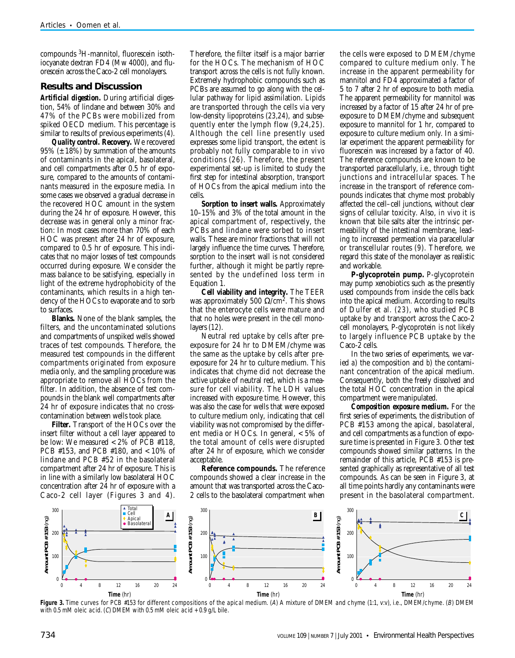compounds 3H-mannitol, fluorescein isothiocyanate dextran FD4 (Mw 4000), and fluorescein across the Caco-2 cell monolayers.

## **Results and Discussion**

*Artificial digestion.* During artificial digestion, 54% of lindane and between 30% and 47% of the PCBs were mobilized from spiked OECD medium. This percentage is similar to results of previous experiments (*4*).

*Quality control.* **Recovery.** We recovered  $95\%$  ( $\pm$  18%) by summation of the amounts of contaminants in the apical, basolateral, and cell compartments after 0.5 hr of exposure, compared to the amounts of contaminants measured in the exposure media. In some cases we observed a gradual decrease in the recovered HOC amount in the system during the 24 hr of exposure. However, this decrease was in general only a minor fraction: In most cases more than 70% of each HOC was present after 24 hr of exposure, compared to 0.5 hr of exposure. This indicates that no major losses of test compounds occurred during exposure. We consider the mass balance to be satisfying, especially in light of the extreme hydrophobicity of the contaminants, which results in a high tendency of the HOCs to evaporate and to sorb to surfaces.

**Blanks.** None of the blank samples, the filters, and the uncontaminated solutions and compartments of unspiked wells showed traces of test compounds. Therefore, the measured test compounds in the different compartments originated from exposure media only, and the sampling procedure was appropriate to remove all HOCs from the filter. In addition, the absence of test compounds in the blank well compartments after 24 hr of exposure indicates that no crosscontamination between wells took place.

**Filter.** Transport of the HOCs over the insert filter without a cell layer appeared to be low: We measured < 2% of PCB #118, PCB #153, and PCB #180, and < 10% of lindane and PCB #52 in the basolateral compartment after 24 hr of exposure. This is in line with a similarly low basolateral HOC concentration after 24 hr of exposure with a Caco-2 cell layer (Figures 3 and 4).

Therefore, the filter itself is a major barrier for the HOCs. The mechanism of HOC transport across the cells is not fully known. Extremely hydrophobic compounds such as PCBs are assumed to go along with the cellular pathway for lipid assimilation. Lipids are transported through the cells via very low-density lipoproteins (*23,24*), and subsequently enter the lymph flow (*9,24,25*). Although the cell line presently used expresses some lipid transport, the extent is probably not fully comparable to *in vivo* conditions (*26*). Therefore, the present experimental set-up is limited to study the first step for intestinal absorption, transport of HOCs from the apical medium into the cells.

**Sorption to insert walls.** Approximately 10–15% and 3% of the total amount in the apical compartment of, respectively, the PCBs and lindane were sorbed to insert walls. These are minor fractions that will not largely influence the time curves. Therefore, sorption to the insert wall is not considered further, although it might be partly represented by the undefined loss term in Equation 1.

**Cell viability and integrity.** The TEER was approximately 500  $\Omega$ /cm<sup>2</sup>. This shows that the enterocyte cells were mature and that no holes were present in the cell monolayers (*12*).

Neutral red uptake by cells after preexposure for 24 hr to DMEM/chyme was the same as the uptake by cells after preexposure for 24 hr to culture medium. This indicates that chyme did not decrease the active uptake of neutral red, which is a measure for cell viability. The LDH values increased with exposure time. However, this was also the case for wells that were exposed to culture medium only, indicating that cell viability was not compromised by the different media or HOCs. In general, < 5% of the total amount of cells were disrupted after 24 hr of exposure, which we consider acceptable.

**Reference compounds.** The reference compounds showed a clear increase in the amount that was transported across the Caco-2 cells to the basolateral compartment when

the cells were exposed to DMEM/chyme compared to culture medium only. The increase in the apparent permeability for mannitol and FD4 approximated a factor of 5 to 7 after 2 hr of exposure to both media. The apparent permeability for mannitol was increased by a factor of 15 after 24 hr of preexposure to DMEM/chyme and subsequent exposure to mannitol for 1 hr, compared to exposure to culture medium only. In a similar experiment the apparent permeability for fluorescein was increased by a factor of 40. The reference compounds are known to be transported paracellularly, i.e., through tight junctions and intracellular spaces. The increase in the transport of reference compounds indicates that chyme most probably affected the cell–cell junctions, without clear signs of cellular toxicity. Also, *in vivo* it is known that bile salts alter the intrinsic permeability of the intestinal membrane, leading to increased permeation via paracellular or transcellular routes (*9*). Therefore, we regard this state of the monolayer as realistic and workable.

**P-glycoprotein pump.** P-glycoprotein may pump xenobiotics such as the presently used compounds from inside the cells back into the apical medium. According to results of Dulfer et al. (*23*), who studied PCB uptake by and transport across the Caco-2 cell monolayers, P-glycoprotein is not likely to largely influence PCB uptake by the Caco-2 cells.

In the two series of experiments, we varied *a*) the composition and *b*) the contaminant concentration of the apical medium. Consequently, both the freely dissolved and the total HOC concentration in the apical compartment were manipulated.

*Composition exposure medium.* For the first series of experiments, the distribution of PCB #153 among the apical, basolateral, and cell compartments as a function of exposure time is presented in Figure 3. Other test compounds showed similar patterns. In the remainder of this article, PCB #153 is presented graphically as representative of all test compounds. As can be seen in Figure 3, at all time points hardly any contaminants were present in the basolateral compartment.



Figure 3. Time curves for PCB #153 for different compositions of the apical medium. (A) A mixture of DMEM and chyme (1:1, v:v), i.e., DMEM/chyme. (B) DMEM with 0.5 mM oleic acid. (C) DMEM with 0.5 mM oleic acid + 0.9 g/L bile.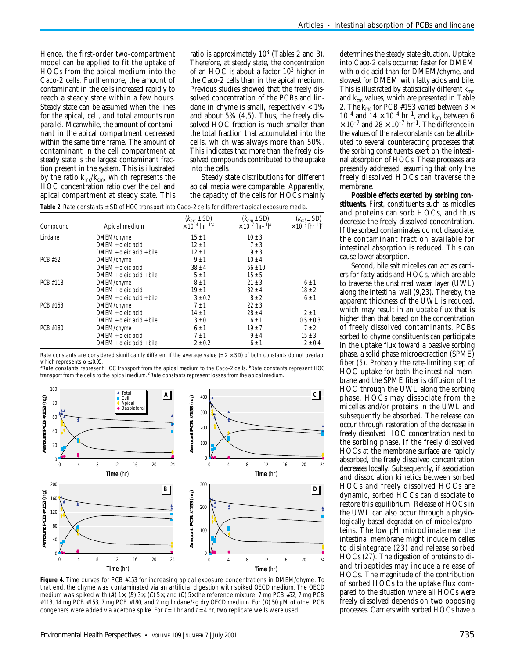Hence, the first-order two-compartment model can be applied to fit the uptake of HOCs from the apical medium into the Caco-2 cells. Furthermore, the amount of contaminant in the cells increased rapidly to reach a steady state within a few hours. Steady state can be assumed when the lines for the apical, cell, and total amounts run parallel. Meanwhile, the amount of contaminant in the apical compartment decreased within the same time frame. The amount of contaminant in the cell compartment at steady state is the largest contaminant fraction present in the system. This is illustrated by the ratio *kmc*/*kcm*, which represents the HOC concentration ratio over the cell and apical compartment at steady state. This

ratio is approximately  $10^3$  (Tables 2 and 3). Therefore, at steady state, the concentration of an HOC is about a factor 10<sup>3</sup> higher in the Caco-2 cells than in the apical medium. Previous studies showed that the freely dissolved concentration of the PCBs and lindane in chyme is small, respectively  $< 1\%$ and about 5% (*4,5*). Thus, the freely dissolved HOC fraction is much smaller than the total fraction that accumulated into the cells, which was always more than 50%. This indicates that more than the freely dissolved compounds contributed to the uptake into the cells.

Steady state distributions for different apical media were comparable. Apparently, the capacity of the cells for HOCs mainly

| Table 2. Rate constants $\pm$ SD of HOC transport into Caco-2 cells for different apical exposure media. |  |  |
|----------------------------------------------------------------------------------------------------------|--|--|
|----------------------------------------------------------------------------------------------------------|--|--|

| Compound | Apical medium              | $(k_{mc} \pm SD)$<br>$\times 10^{-4}$ [hr <sup>-1</sup> ] <sup>a</sup> | $(k_{cm} \pm SD)$<br>$\times 10^{-7}$ [hr-1] <sup>b</sup> | $(km1 \pm SD)$<br>$\times$ 10 <sup>-5</sup> [hr <sup>-1</sup> ] <sup>c</sup> |
|----------|----------------------------|------------------------------------------------------------------------|-----------------------------------------------------------|------------------------------------------------------------------------------|
| I indane | DMEM/chyme                 | $15 \pm 1$                                                             | $10 \pm 3$                                                |                                                                              |
|          | DMEM + oleic acid          | $12 \pm 1$                                                             | $7 \pm 3$                                                 |                                                                              |
|          | $DMEM +$ oleic acid + bile | $12 \pm 1$                                                             | $9 \pm 3$                                                 |                                                                              |
| PCB #52  | DMEM/chyme                 | $9 \pm 1$                                                              | $10 + 4$                                                  |                                                                              |
|          | $DMFM + oleic acid$        | $38 \pm 4$                                                             | $56 \pm 10$                                               |                                                                              |
|          | $DMFM +$ oleic acid + bile | $5 \pm 1$                                                              | $15 \pm 5$                                                |                                                                              |
| PCB #118 | DMEM/chyme                 | $8 \pm 1$                                                              | $21 \pm 3$                                                | $6 \pm 1$                                                                    |
|          | DMEM + oleic acid          | $19 \pm 1$                                                             | $32 \pm 4$                                                | $18 \pm 2$                                                                   |
|          | $DMEM +$ oleic acid + bile | $3 \pm 0.2$                                                            | $8 \pm 2$                                                 | $6 \pm 1$                                                                    |
| PCB #153 | DMEM/chyme                 | $7 \pm 1$                                                              | $22 \pm 3$                                                |                                                                              |
|          | $DMFM + oleic acid$        | $14 \pm 1$                                                             | $28 + 4$                                                  | $2 + 1$                                                                      |
|          | $DMEM +$ oleic acid + bile | $3 \pm 0.1$                                                            | $6 \pm 1$                                                 | $0.5 \pm 0.3$                                                                |
| PCB #180 | DMEM/chyme                 | $6 \pm 1$                                                              | $19 \pm 7$                                                | $7 \pm 2$                                                                    |
|          | $DMFM + oleic acid$        | $7 \pm 1$                                                              | $9 \pm 4$                                                 | $15 \pm 3$                                                                   |
|          | $DMEM +$ oleic acid + bile | $2 \pm 0.2$                                                            | $6 \pm 1$                                                 | $2 \pm 0.4$                                                                  |

Rate constants are considered significantly different if the average value ( $\pm$  2  $\times$  SD) of both constants do not overlap, which represents  $\alpha \leq 0.05$ .

**<sup>a</sup>**Rate constants represent HOC transport from the apical medium to the Caco-2 cells. **<sup>b</sup>**Rate constants represent HOC transport from the cells to the apical medium. **c**Rate constants represent losses from the apical medium.



**Figure 4.** Time curves for PCB #153 for increasing apical exposure concentrations in DMEM/chyme. To that end, the chyme was contaminated via an artificial digestion with spiked OECD medium. The OECD medium was spiked with (A) 1 $\times$ , (B) 3 $\times$ , (C) 5 $\times$ , and (D) 5 $\times$  the reference mixture: 7 mg PCB #52, 7 mg PCB #118, 14 mg PCB #153, 7 mg PCB #180, and 2 mg lindane/kg dry OECD medium. For (D) 50 µM of other PCB congeners were added via acetone spike. For  $t = 1$  hr and  $t = 4$  hr, two replicate wells were used.

determines the steady state situation. Uptake into Caco-2 cells occurred faster for DMEM with oleic acid than for DMEM/chyme, and slowest for DMEM with fatty acids and bile. This is illustrated by statistically different *kmc* and  $k_{cm}$  values, which are presented in Table 2. The  $k_{mc}$  for PCB #153 varied between 3  $\times$  $10^{-4}$  and  $14 \times 10^{-4}$  hr<sup>-1</sup>, and  $k_{cm}$  between 6  $\times$  10<sup>-7</sup> and 28  $\times$  10<sup>-7</sup> hr<sup>-1</sup>. The difference in the values of the rate constants can be attributed to several counteracting processes that the sorbing constituents exert on the intestinal absorption of HOCs. These processes are presently addressed, assuming that only the freely dissolved HOCs can traverse the membrane.

*Possible effects exerted by sorbing constituents.* First, constituents such as micelles and proteins can sorb HOCs, and thus decrease the freely dissolved concentration. If the sorbed contaminates do not dissociate, the contaminant fraction available for intestinal absorption is reduced. This can cause lower absorption.

Second, bile salt micelles can act as carriers for fatty acids and HOCs, which are able to traverse the unstirred water layer (UWL) along the intestinal wall (*9,23*). Thereby, the apparent thickness of the UWL is reduced, which may result in an uptake flux that is higher than that based on the concentration of freely dissolved contaminants. PCBs sorbed to chyme constituents can participate in the uptake flux toward a passive sorbing phase, a solid phase microextraction (SPME) fiber (*5*). Probably the rate-limiting step of HOC uptake for both the intestinal membrane and the SPME fiber is diffusion of the HOC through the UWL along the sorbing phase. HOCs may dissociate from the micelles and/or proteins in the UWL and subsequently be absorbed. The release can occur through restoration of the decrease in freely dissolved HOC concentration next to the sorbing phase. If the freely dissolved HOCs at the membrane surface are rapidly absorbed, the freely dissolved concentration decreases locally. Subsequently, if association and dissociation kinetics between sorbed HOCs and freely dissolved HOCs are dynamic, sorbed HOCs can dissociate to restore this equilibrium. Release of HOCs in the UWL can also occur through a physiologically based degradation of micelles/proteins. The low pH microclimate near the intestinal membrane might induce micelles to disintegrate (*23*) and release sorbed HOCs (*27*). The digestion of proteins to diand tripeptides may induce a release of HOCs. The magnitude of the contribution of sorbed HOCs to the uptake flux compared to the situation where all HOCs were freely dissolved depends on two opposing processes. Carriers with sorbed HOCs have a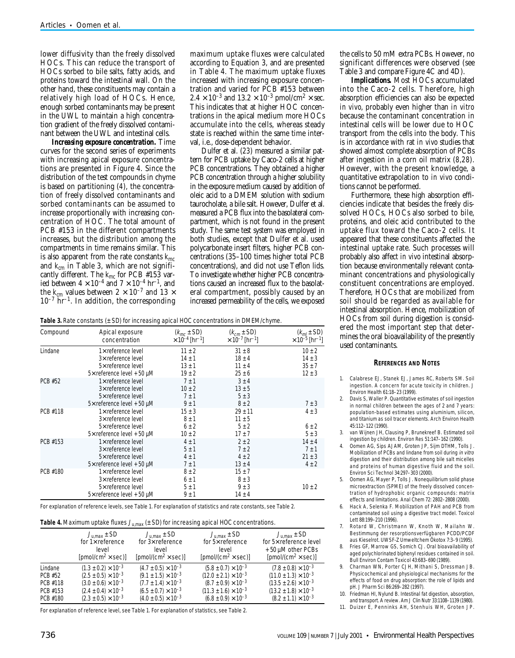lower diffusivity than the freely dissolved HOCs. This can reduce the transport of HOCs sorbed to bile salts, fatty acids, and proteins toward the intestinal wall. On the other hand, these constituents may contain a relatively high load of HOCs. Hence, enough sorbed contaminants may be present in the UWL to maintain a high concentration gradient of the freely dissolved contaminant between the UWL and intestinal cells.

*Increasing exposure concentration.* Time curves for the second series of experiments with increasing apical exposure concentrations are presented in Figure 4. Since the distribution of the test compounds in chyme is based on partitioning (*4*), the concentration of freely dissolved contaminants and sorbed contaminants can be assumed to increase proportionally with increasing concentration of HOC. The total amount of PCB #153 in the different compartments increases, but the distribution among the compartments in time remains similar. This is also apparent from the rate constants *kmc* and *kcm* in Table 3, which are not significantly different. The *kmc* for PCB #153 varied between  $4 \times 10^{-4}$  and  $7 \times 10^{-4}$  hr<sup>-1</sup>, and the  $k_{cm}$  values between  $2 \times 10^{-7}$  and  $13 \times$ 10–7 hr–1. In addition, the corresponding

maximum uptake fluxes were calculated according to Equation 3, and are presented in Table 4. The maximum uptake fluxes increased with increasing exposure concentration and varied for PCB #153 between  $2.4 \times 10^{-3}$  and  $13.2 \times 10^{-3}$  pmol/cm<sup>2</sup>  $\times$  sec. This indicates that at higher HOC concentrations in the apical medium more HOCs accumulate into the cells, whereas steady state is reached within the same time interval, i.e., dose-dependent behavior.

Dulfer et al. (*23*) measured a similar pattern for PCB uptake by Caco-2 cells at higher PCB concentrations. They obtained a higher PCB concentration through a higher solubility in the exposure medium caused by addition of oleic acid to a DMEM solution with sodium taurocholate, a bile salt. However, Dulfer et al. measured a PCB flux into the basolateral compartment, which is not found in the present study. The same test system was employed in both studies, except that Dulfer et al. used polycarbonate insert filters, higher PCB concentrations (35–100 times higher total PCB concentrations), and did not use Teflon lids. To investigate whether higher PCB concentrations caused an increased flux to the basolateral compartment, possibly caused by an increased permeability of the cells, we exposed

**Table 3.** Rate constants (± SD) for increasing apical HOC concentrations in DMEM/chyme.

| Compound | Apical exposure                                                                                            | $(k_{mc} \pm SD)$                                  | $(kcm \pm SD)$                                       | $(km1 \pm SD)$                                |
|----------|------------------------------------------------------------------------------------------------------------|----------------------------------------------------|------------------------------------------------------|-----------------------------------------------|
|          | concentration                                                                                              | $\times$ 10 <sup>-4</sup> [hr <sup>-1</sup> ]      | $\times$ 10 <sup>-7</sup> [hr <sup>-1</sup> ]        | $\times$ 10 <sup>-5</sup> [hr <sup>-1</sup> ] |
| Lindane  | $1\times$ reference level                                                                                  | $11 \pm 2$                                         | $31 \pm 8$                                           | $10 \pm 2$                                    |
|          | 3× reference level                                                                                         | $14 \pm 1$                                         | $18 \pm 4$                                           | $14 \pm 3$                                    |
|          | 5× reference level                                                                                         | $13 \pm 1$                                         | $11 \pm 4$                                           | $35 \pm 7$                                    |
|          | $5\times$ reference level + 50 µM                                                                          | $19 \pm 2$                                         | $25 \pm 6$                                           | $12 \pm 3$                                    |
| PCB #52  | $1\times$ reference level<br>3× reference level<br>5× reference level<br>$5\times$ reference level + 50 µM | $7 \pm 1$<br>$10 \pm 2$<br>$7 \pm 1$<br>$9 \pm 1$  | $3 \pm 4$<br>$13 \pm 5$<br>$5 \pm 3$<br>$8 \pm 2$    | $7 \pm 3$                                     |
| PCB #118 | $1\times$ reference level<br>3× reference level<br>5x reference level<br>$5\times$ reference level + 50 µM | $15 \pm 3$<br>$8 \pm 1$<br>$6 \pm 2$<br>$10 \pm 2$ | $29 \pm 11$<br>$11 \pm 5$<br>$5 \pm 2$<br>$17 \pm 7$ | $4 \pm 3$<br>$6 \pm 2$<br>$5 \pm 3$           |
| PCB #153 | $1\times$ reference level                                                                                  | $4 \pm 1$                                          | $2 \pm 2$                                            | $14 \pm 4$                                    |
|          | 3× reference level                                                                                         | $5 \pm 1$                                          | $7 \pm 2$                                            | $7 \pm 1$                                     |
|          | 5x reference level                                                                                         | $4 \pm 1$                                          | $4 \pm 2$                                            | $21 \pm 3$                                    |
|          | $5\times$ reference level + 50 µM                                                                          | $7 \pm 1$                                          | $13 \pm 4$                                           | $4 \pm 2$                                     |
| PCB #180 | 1x reference level<br>3× reference level<br>5x reference level<br>$5\times$ reference level + 50 µM        | $8 \pm 2$<br>$6 \pm 1$<br>$5 \pm 1$<br>$9 \pm 1$   | $15 \pm 7$<br>$8 \pm 3$<br>$9 \pm 3$<br>$14 \pm 4$   | $10 \pm 2$                                    |

For explanation of reference levels, see Table 1. For explanation of statistics and rate constants, see Table 2.

| Table 4. Maximum uptake fluxes $J_{\text{u,max}}$ ( $\pm$ SD) for increasing apical HOC concentrations. |  |  |
|---------------------------------------------------------------------------------------------------------|--|--|
|---------------------------------------------------------------------------------------------------------|--|--|

|          | $J_{\text{u,max}}$ ± SD              | $J_{\text{u,max}}$ ± SD               | $J_{\text{U,max}}$ ± SD               | $J_{\text{U,max}}$ ± SD               |
|----------|--------------------------------------|---------------------------------------|---------------------------------------|---------------------------------------|
|          | for $1\times$ reference              | for $3\times$ reference               | for $5\times$ reference               | for 5x reference level                |
|          | level                                | level                                 | level                                 | +50 µM other PCBs                     |
|          | [pmol/cm <sup>2</sup> $\times$ sec)] | [pmol/(cm <sup>2</sup> $\times$ sec)] | [pmol/(cm <sup>2</sup> $\times$ sec)] | [pmol/(cm <sup>2</sup> $\times$ sec)] |
| Lindane  | $(1.3 \pm 0.2) \times 10^{-3}$       | $(4.7 \pm 0.5) \times 10^{-3}$        | $(5.8 \pm 0.7) \times 10^{-3}$        | $(7.8 \pm 0.8) \times 10^{-3}$        |
| PCB #52  | $(2.5 \pm 0.5) \times 10^{-3}$       | $(9.1 \pm 1.5) \times 10^{-3}$        | $(12.0 \pm 2.1) \times 10^{-3}$       | $(11.0 \pm 1.3) \times 10^{-3}$       |
| PCB #118 | $(3.0 \pm 0.6) \times 10^{-3}$       | $(7.7 \pm 1.4) \times 10^{-3}$        | $(8.7 \pm 0.9) \times 10^{-3}$        | $(13.5 \pm 2.6) \times 10^{-3}$       |
| PCB #153 | $(2.4 \pm 0.4) \times 10^{-3}$       | $(6.5 \pm 0.7) \times 10^{-3}$        | $(11.3 \pm 1.6) \times 10^{-3}$       | $(13.2 \pm 1.8) \times 10^{-3}$       |
| PCB #180 | $(2.3 \pm 0.5) \times 10^{-3}$       | $(4.0 \pm 0.5) \times 10^{-3}$        | $(6.8 \pm 0.9) \times 10^{-3}$        | $(8.2 \pm 1.1) \times 10^{-3}$        |

For explanation of reference level, see Table 1. For explanation of statistics, see Table 2.

the cells to 50 mM extra PCBs. However, no significant differences were observed (see Table 3 and compare Figure 4C and 4D).

*Implications.* Most HOCs accumulated into the Caco-2 cells. Therefore, high absorption efficiencies can also be expected *in vivo*, probably even higher than *in vitro* because the contaminant concentration in intestinal cells will be lower due to HOC transport from the cells into the body. This is in accordance with rat *in vivo* studies that showed almost complete absorption of PCBs after ingestion in a corn oil matrix (*8,28*). However, with the present knowledge, a quantitative extrapolation to *in vivo* conditions cannot be performed.

Furthermore, these high absorption efficiencies indicate that besides the freely dissolved HOCs, HOCs also sorbed to bile, proteins, and oleic acid contributed to the uptake flux toward the Caco-2 cells. It appeared that these constituents affected the intestinal uptake rate. Such processes will probably also affect *in vivo* intestinal absorption because environmentally relevant contaminant concentrations and physiologically constituent concentrations are employed. Therefore, HOCs that are mobilized from soil should be regarded as available for intestinal absorption. Hence, mobilization of HOCs from soil during digestion is considered the most important step that determines the oral bioavailability of the presently used contaminants.

#### **REFERENCES AND NOTES**

- 1. Calabrese EJ, Stanek EJ, James RC, Roberts SM. Soil ingestion. A concern for acute toxicity in children. J Environ Health 61:18–23 (1999).
- Davis S, Waller P. Quantitative estimates of soil ingestion in normal children between the ages of 2 and 7 years: population-based estimates using aluminium, silicon, and titanium as soil tracer elements. Arch Environ Health 45:112–122 (1990).
- 3. van Wijnen JH, Clausing P, Brunekreef B. Estimated soil ingestion by children. Environ Res 51:147–162 (1990).
- 4. Oomen AG, Sips AJAM, Groten JP, Sijm DTHM, Tolls J. Mobilization of PCBs and lindane from soil during in vitro digestion and their distribution among bile salt micelles and proteins of human digestive fluid and the soil. Environ Sci Technol 34:297–303 (2000).
- 5. Oomen AG, Mayer P, Tolls J. Nonequilibrium solid phase microextraction (SPME) of the freely dissolved concentration of hydrophobic organic compounds: matrix effects and limitations. Anal Chem 72: 2802–2808 (2000).
- Hack A, Selenka F. Mobilization of PAH and PCB from contaminated soil using a digestive tract model. Toxicol Lett 88:199–210 (1996).
- 7. Rotard W, Christmann W, Knoth W, Mailahn W. Bestimmung der resorptionsverfügbaren PCDD/PCDF aus Kieselrot. UWSF-Z Umweltchem Ökotox 7:3–9 (1995).
- 8. Fries GF, Marrow GS, Somich CJ. Oral bioavailability of aged polychlorinated biphenyl residues contained in soil. Bull Environ Contam Toxicol 43:683–690 (1989).
- 9. Charman WN, Porter CJH, Mithani S, Dressman JB. Physicochemical and physiological mechanisms for the effects of food on drug absorption: the role of lipids and pH. J Pharm Sci 86:269–282 (1997).
- 10. Friedman HI, Nylund B. Intestinal fat digestion, absorption, and transport. A review. Am J Clin Nutr 33:1108–1139 (1980).
- 11. Duizer E, Penninks AH, Stenhuis WH, Groten JP.